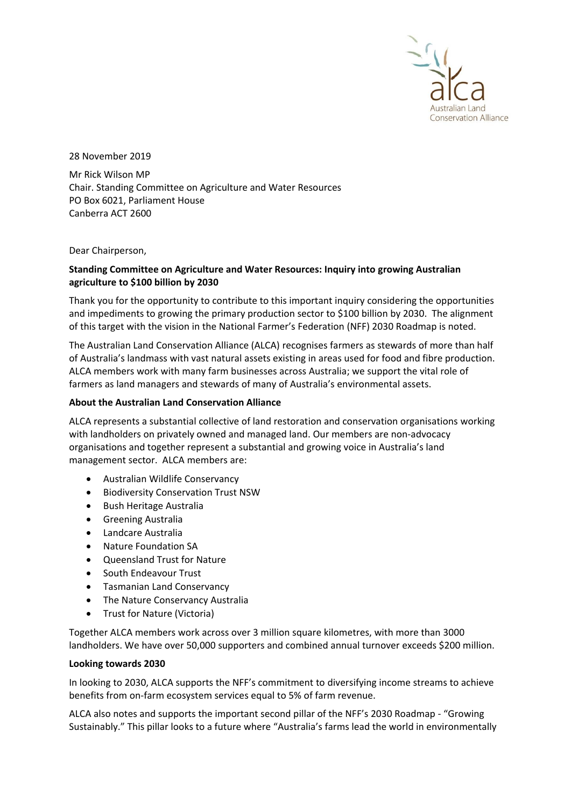

28 November 2019

Mr Rick Wilson MP Chair. Standing Committee on Agriculture and Water Resources PO Box 6021, Parliament House Canberra ACT 2600

### Dear Chairperson,

# **Standing Committee on Agriculture and Water Resources: Inquiry into growing Australian agriculture to \$100 billion by 2030**

Thank you for the opportunity to contribute to this important inquiry considering the opportunities and impediments to growing the primary production sector to \$100 billion by 2030. The alignment of this target with the vision in the National Farmer's Federation (NFF) 2030 Roadmap is noted.

The Australian Land Conservation Alliance (ALCA) recognises farmers as stewards of more than half of Australia's landmass with vast natural assets existing in areas used for food and fibre production. ALCA members work with many farm businesses across Australia; we support the vital role of farmers as land managers and stewards of many of Australia's environmental assets.

# **About the Australian Land Conservation Alliance**

ALCA represents a substantial collective of land restoration and conservation organisations working with landholders on privately owned and managed land. Our members are non-advocacy organisations and together represent a substantial and growing voice in Australia's land management sector. ALCA members are:

- Australian Wildlife Conservancy
- Biodiversity Conservation Trust NSW
- Bush Heritage Australia
- Greening Australia
- Landcare Australia
- Nature Foundation SA
- Queensland Trust for Nature
- South Endeavour Trust
- Tasmanian Land Conservancy
- The Nature Conservancy Australia
- Trust for Nature (Victoria)

Together ALCA members work across over 3 million square kilometres, with more than 3000 landholders. We have over 50,000 supporters and combined annual turnover exceeds \$200 million.

### **Looking towards 2030**

In looking to 2030, ALCA supports the NFF's commitment to diversifying income streams to achieve benefits from on-farm ecosystem services equal to 5% of farm revenue.

ALCA also notes and supports the important second pillar of the NFF's 2030 Roadmap - "Growing Sustainably." This pillar looks to a future where "Australia's farms lead the world in environmentally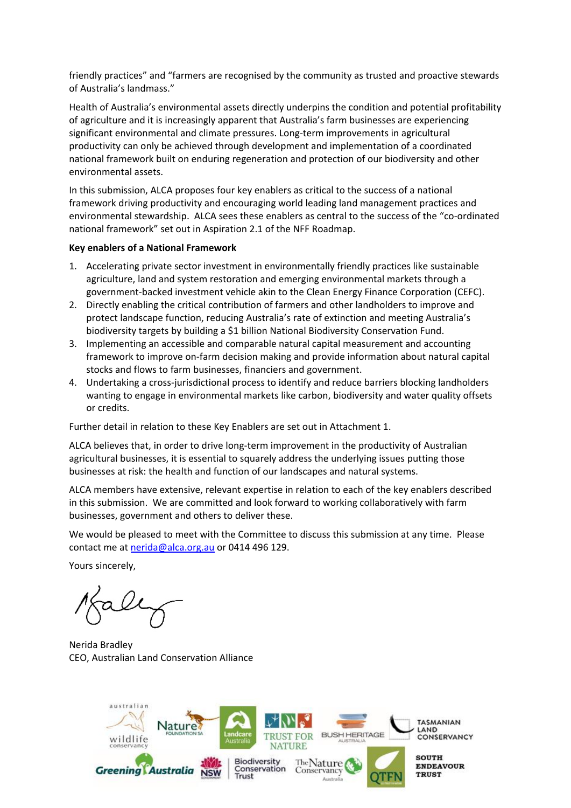friendly practices" and "farmers are recognised by the community as trusted and proactive stewards of Australia's landmass."

Health of Australia's environmental assets directly underpins the condition and potential profitability of agriculture and it is increasingly apparent that Australia's farm businesses are experiencing significant environmental and climate pressures. Long-term improvements in agricultural productivity can only be achieved through development and implementation of a coordinated national framework built on enduring regeneration and protection of our biodiversity and other environmental assets.

In this submission, ALCA proposes four key enablers as critical to the success of a national framework driving productivity and encouraging world leading land management practices and environmental stewardship. ALCA sees these enablers as central to the success of the "co-ordinated national framework" set out in Aspiration 2.1 of the NFF Roadmap.

#### **Key enablers of a National Framework**

- 1. Accelerating private sector investment in environmentally friendly practices like sustainable agriculture, land and system restoration and emerging environmental markets through a government-backed investment vehicle akin to the Clean Energy Finance Corporation (CEFC).
- 2. Directly enabling the critical contribution of farmers and other landholders to improve and protect landscape function, reducing Australia's rate of extinction and meeting Australia's biodiversity targets by building a \$1 billion National Biodiversity Conservation Fund.
- 3. Implementing an accessible and comparable natural capital measurement and accounting framework to improve on-farm decision making and provide information about natural capital stocks and flows to farm businesses, financiers and government.
- 4. Undertaking a cross-jurisdictional process to identify and reduce barriers blocking landholders wanting to engage in environmental markets like carbon, biodiversity and water quality offsets or credits.

Further detail in relation to these Key Enablers are set out in Attachment 1.

ALCA believes that, in order to drive long-term improvement in the productivity of Australian agricultural businesses, it is essential to squarely address the underlying issues putting those businesses at risk: the health and function of our landscapes and natural systems.

ALCA members have extensive, relevant expertise in relation to each of the key enablers described in this submission. We are committed and look forward to working collaboratively with farm businesses, government and others to deliver these.

We would be pleased to meet with the Committee to discuss this submission at any time. Please contact me at [nerida@alca.org.au](mailto:nerida@alca.org.au) or 0414 496 129.

Yours sincerely,

Nerida Bradley CEO, Australian Land Conservation Alliance

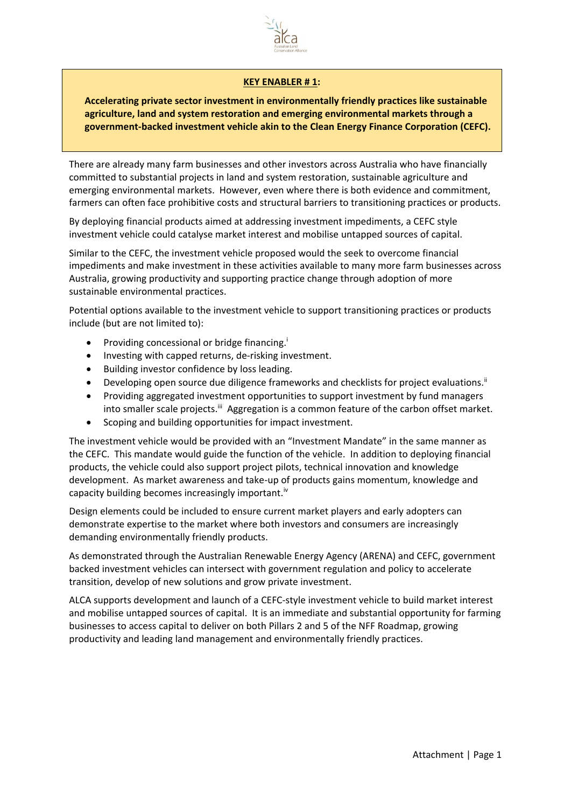

### **KEY ENABLER # 1:**

**Accelerating private sector investment in environmentally friendly practices like sustainable agriculture, land and system restoration and emerging environmental markets through a government-backed investment vehicle akin to the Clean Energy Finance Corporation (CEFC).**

There are already many farm businesses and other investors across Australia who have financially committed to substantial projects in land and system restoration, sustainable agriculture and emerging environmental markets. However, even where there is both evidence and commitment, farmers can often face prohibitive costs and structural barriers to transitioning practices or products.

By deploying financial products aimed at addressing investment impediments, a CEFC style investment vehicle could catalyse market interest and mobilise untapped sources of capital.

Similar to the CEFC, the investment vehicle proposed would the seek to overcome financial impediments and make investment in these activities available to many more farm businesses across Australia, growing productivity and supporting practice change through adoption of more sustainable environmental practices.

Potential options available to the investment vehicle to support transitioning practices or products include (but are not limited to):

- **•** Providing concessional or bridge financing.<sup>i</sup>
- Investing with capped returns, de-risking investment.
- Building investor confidence by loss leading.
- Developing open source due diligence frameworks and checklists for project evaluations.<sup>ii</sup>
- Providing aggregated investment opportunities to support investment by fund managers into smaller scale projects.<sup>iii</sup> Aggregation is a common feature of the carbon offset market.
- Scoping and building opportunities for impact investment.

The investment vehicle would be provided with an "Investment Mandate" in the same manner as the CEFC. This mandate would guide the function of the vehicle. In addition to deploying financial products, the vehicle could also support project pilots, technical innovation and knowledge development. As market awareness and take-up of products gains momentum, knowledge and capacity building becomes increasingly important.<sup>iv</sup>

Design elements could be included to ensure current market players and early adopters can demonstrate expertise to the market where both investors and consumers are increasingly demanding environmentally friendly products.

As demonstrated through the Australian Renewable Energy Agency (ARENA) and CEFC, government backed investment vehicles can intersect with government regulation and policy to accelerate transition, develop of new solutions and grow private investment.

ALCA supports development and launch of a CEFC-style investment vehicle to build market interest and mobilise untapped sources of capital. It is an immediate and substantial opportunity for farming businesses to access capital to deliver on both Pillars 2 and 5 of the NFF Roadmap, growing productivity and leading land management and environmentally friendly practices.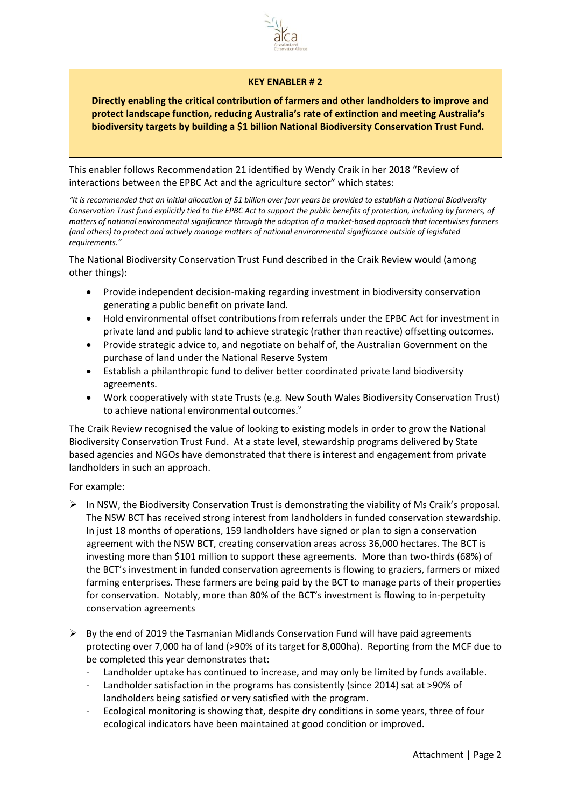

## **KEY ENABLER # 2**

**Directly enabling the critical contribution of farmers and other landholders to improve and protect landscape function, reducing Australia's rate of extinction and meeting Australia's biodiversity targets by building a \$1 billion National Biodiversity Conservation Trust Fund.**

This enabler follows Recommendation 21 identified by Wendy Craik in her 2018 "Review of interactions between the EPBC Act and the agriculture sector" which states:

*"It is recommended that an initial allocation of \$1 billion over four years be provided to establish a National Biodiversity Conservation Trust fund explicitly tied to the EPBC Act to support the public benefits of protection, including by farmers, of matters of national environmental significance through the adoption of a market-based approach that incentivises farmers (and others) to protect and actively manage matters of national environmental significance outside of legislated requirements."*

The National Biodiversity Conservation Trust Fund described in the Craik Review would (among other things):

- Provide independent decision-making regarding investment in biodiversity conservation generating a public benefit on private land.
- Hold environmental offset contributions from referrals under the EPBC Act for investment in private land and public land to achieve strategic (rather than reactive) offsetting outcomes.
- Provide strategic advice to, and negotiate on behalf of, the Australian Government on the purchase of land under the National Reserve System
- Establish a philanthropic fund to deliver better coordinated private land biodiversity agreements.
- Work cooperatively with state Trusts (e.g. New South Wales Biodiversity Conservation Trust) to achieve national environmental outcomes.<sup>v</sup>

The Craik Review recognised the value of looking to existing models in order to grow the National Biodiversity Conservation Trust Fund. At a state level, stewardship programs delivered by State based agencies and NGOs have demonstrated that there is interest and engagement from private landholders in such an approach.

For example:

- $\triangleright$  In NSW, the Biodiversity Conservation Trust is demonstrating the viability of Ms Craik's proposal. The NSW BCT has received strong interest from landholders in funded conservation stewardship. In just 18 months of operations, 159 landholders have signed or plan to sign a conservation agreement with the NSW BCT, creating conservation areas across 36,000 hectares. The BCT is investing more than \$101 million to support these agreements. More than two-thirds (68%) of the BCT's investment in funded conservation agreements is flowing to graziers, farmers or mixed farming enterprises. These farmers are being paid by the BCT to manage parts of their properties for conservation. Notably, more than 80% of the BCT's investment is flowing to in-perpetuity conservation agreements
- $\triangleright$  By the end of 2019 the Tasmanian Midlands Conservation Fund will have paid agreements protecting over 7,000 ha of land (>90% of its target for 8,000ha). Reporting from the MCF due to be completed this year demonstrates that:
	- Landholder uptake has continued to increase, and may only be limited by funds available.
	- Landholder satisfaction in the programs has consistently (since 2014) sat at >90% of landholders being satisfied or very satisfied with the program.
	- Ecological monitoring is showing that, despite dry conditions in some years, three of four ecological indicators have been maintained at good condition or improved.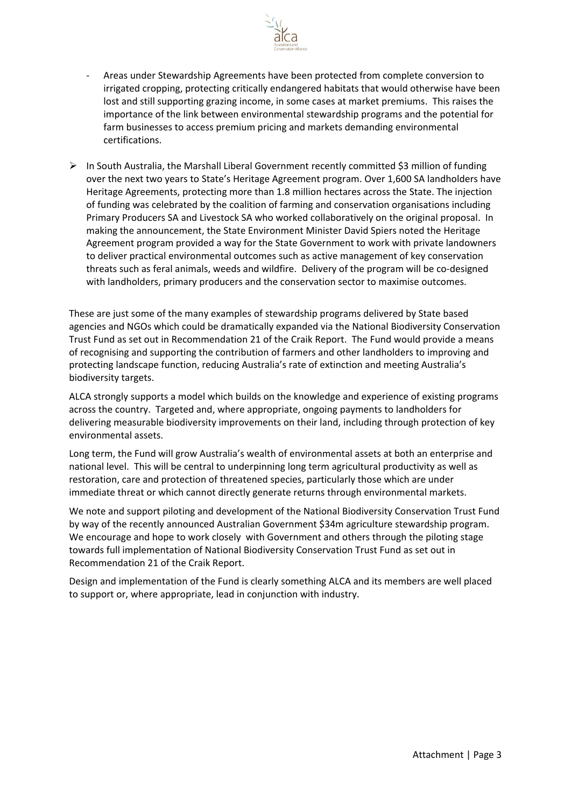

- Areas under Stewardship Agreements have been protected from complete conversion to irrigated cropping, protecting critically endangered habitats that would otherwise have been lost and still supporting grazing income, in some cases at market premiums. This raises the importance of the link between environmental stewardship programs and the potential for farm businesses to access premium pricing and markets demanding environmental certifications.
- ➢ In South Australia, the Marshall Liberal Government recently committed \$3 million of funding over the next two years to State's Heritage Agreement program. Over 1,600 SA landholders have Heritage Agreements, protecting more than 1.8 million hectares across the State. The injection of funding was celebrated by the coalition of farming and conservation organisations including Primary Producers SA and Livestock SA who worked collaboratively on the original proposal. In making the announcement, the State Environment Minister David Spiers noted the Heritage Agreement program provided a way for the State Government to work with private landowners to deliver practical environmental outcomes such as active management of key conservation threats such as feral animals, weeds and wildfire. Delivery of the program will be co-designed with landholders, primary producers and the conservation sector to maximise outcomes.

These are just some of the many examples of stewardship programs delivered by State based agencies and NGOs which could be dramatically expanded via the National Biodiversity Conservation Trust Fund as set out in Recommendation 21 of the Craik Report. The Fund would provide a means of recognising and supporting the contribution of farmers and other landholders to improving and protecting landscape function, reducing Australia's rate of extinction and meeting Australia's biodiversity targets.

ALCA strongly supports a model which builds on the knowledge and experience of existing programs across the country. Targeted and, where appropriate, ongoing payments to landholders for delivering measurable biodiversity improvements on their land, including through protection of key environmental assets.

Long term, the Fund will grow Australia's wealth of environmental assets at both an enterprise and national level. This will be central to underpinning long term agricultural productivity as well as restoration, care and protection of threatened species, particularly those which are under immediate threat or which cannot directly generate returns through environmental markets.

We note and support piloting and development of the National Biodiversity Conservation Trust Fund by way of the recently announced Australian Government \$34m agriculture stewardship program. We encourage and hope to work closely with Government and others through the piloting stage towards full implementation of National Biodiversity Conservation Trust Fund as set out in Recommendation 21 of the Craik Report.

Design and implementation of the Fund is clearly something ALCA and its members are well placed to support or, where appropriate, lead in conjunction with industry.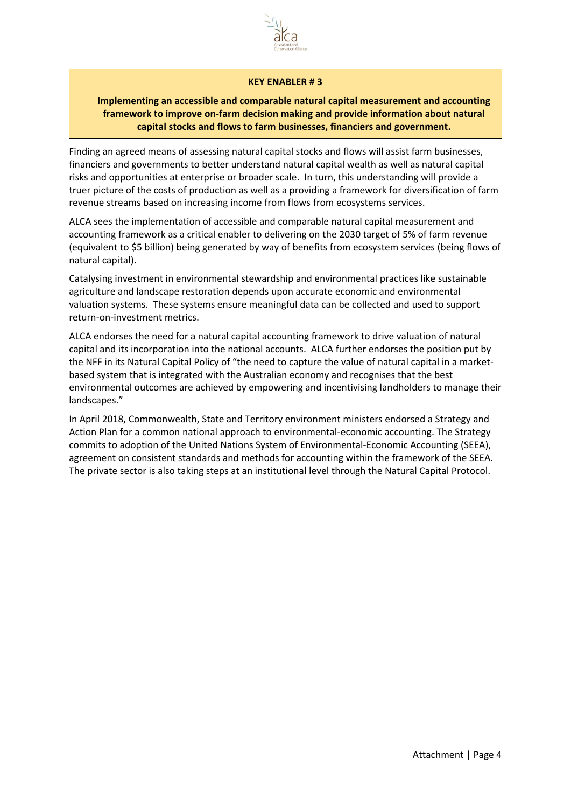

### **KEY ENABLER # 3**

# **Implementing an accessible and comparable natural capital measurement and accounting framework to improve on-farm decision making and provide information about natural capital stocks and flows to farm businesses, financiers and government.**

Finding an agreed means of assessing natural capital stocks and flows will assist farm businesses, financiers and governments to better understand natural capital wealth as well as natural capital risks and opportunities at enterprise or broader scale. In turn, this understanding will provide a truer picture of the costs of production as well as a providing a framework for diversification of farm revenue streams based on increasing income from flows from ecosystems services.

ALCA sees the implementation of accessible and comparable natural capital measurement and accounting framework as a critical enabler to delivering on the 2030 target of 5% of farm revenue (equivalent to \$5 billion) being generated by way of benefits from ecosystem services (being flows of natural capital).

Catalysing investment in environmental stewardship and environmental practices like sustainable agriculture and landscape restoration depends upon accurate economic and environmental valuation systems. These systems ensure meaningful data can be collected and used to support return-on-investment metrics.

ALCA endorses the need for a natural capital accounting framework to drive valuation of natural capital and its incorporation into the national accounts. ALCA further endorses the position put by the NFF in its Natural Capital Policy of "the need to capture the value of natural capital in a marketbased system that is integrated with the Australian economy and recognises that the best environmental outcomes are achieved by empowering and incentivising landholders to manage their landscapes."

In April 2018, Commonwealth, State and Territory environment ministers endorsed a Strategy and Action Plan for a common national approach to environmental-economic accounting. The Strategy commits to adoption of the United Nations System of Environmental-Economic Accounting (SEEA), agreement on consistent standards and methods for accounting within the framework of the SEEA. The private sector is also taking steps at an institutional level through the Natural Capital Protocol.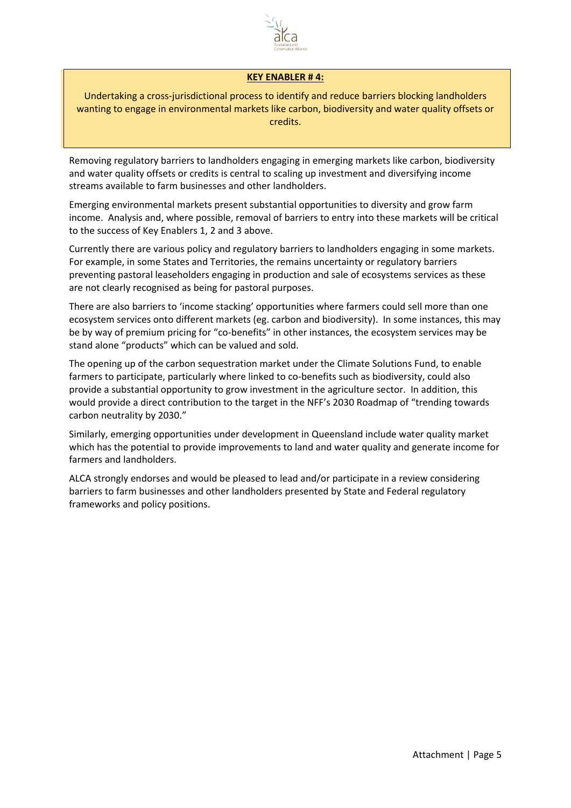

### **KEY ENABLER # 4:**

Undertaking a cross-jurisdictional process to identify and reduce barriers blocking landholders wanting to engage in environmental markets like carbon, biodiversity and water quality offsets or credits.

Removing regulatory barriers to landholders engaging in emerging markets like carbon, biodiversity and water quality offsets or credits is central to scaling up investment and diversifying income streams available to farm businesses and other landholders.

Emerging environmental markets present substantial opportunities to diversity and grow farm income. Analysis and, where possible, removal of barriers to entry into these markets will be critical to the success of Key Enablers 1, 2 and 3 above.

Currently there are various policy and regulatory barriers to landholders engaging in some markets. For example, in some States and Territories, the remains uncertainty or regulatory barriers preventing pastoral leaseholders engaging in production and sale of ecosystems services as these are not clearly recognised as being for pastoral purposes.

There are also barriers to 'income stacking' opportunities where farmers could sell more than one ecosystem services onto different markets (eg. carbon and biodiversity). In some instances, this may be by way of premium pricing for "co-benefits" in other instances, the ecosystem services may be stand alone "products" which can be valued and sold.

The opening up of the carbon sequestration market under the Climate Solutions Fund, to enable farmers to participate, particularly where linked to co-benefits such as biodiversity, could also provide a substantial opportunity to grow investment in the agriculture sector. In addition, this would provide a direct contribution to the target in the NFF's 2030 Roadmap of "trending towards carbon neutrality by 2030."

Similarly, emerging opportunities under development in Queensland include water quality market which has the potential to provide improvements to land and water quality and generate income for farmers and landholders.

ALCA strongly endorses and would be pleased to lead and/or participate in a review considering barriers to farm businesses and other landholders presented by State and Federal regulatory frameworks and policy positions.